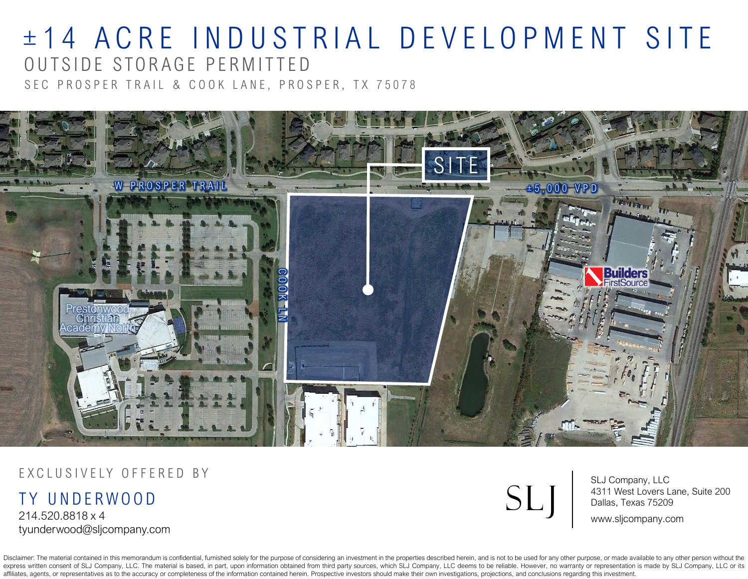# ± 14 ACRE INDUSTRIAL DEVELOPMENT SITE OUTSIDE STORAGE PERMITTE D

SEC PROSPER TRAIL & COOK LANE, PROSPER, TX 75078



#### EXCLUSIVELY OFFERED BY

TY UNDERWOOD 214.520.8818 x 4 tyunderwood@sljcompany.com

Disclaimer: The material contained in this memorandum is confidential, furnished solely for the purpose of considering an investment in the properties described herein, and is not to be used for any other purpose, or made express written consent of SLJ Company, LLC. The material is based, in part, upon information obtained from third party sources, which SLJ Company, LLC deems to be reliable. However, no warranty or representation is made b affiliates, agents, or representatives as to the accuracy or completeness of the information contained herein. Prospective investors should make their own investigations, projections, and conclusions regarding this investm



SLJ Company, LLC 4311 West Lovers Lane, Suite 200 Dallas, Texas 75209

www.sljcompany.com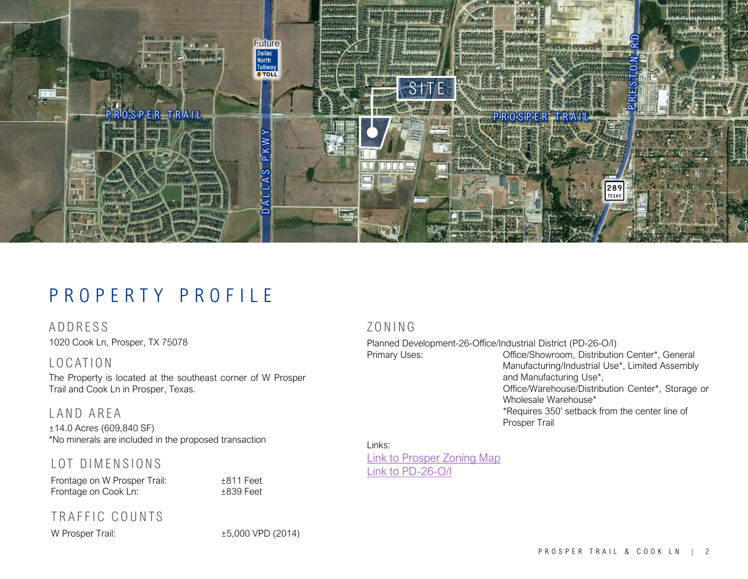

### PROPERTY PROFILE

1020 Cook Ln, Prosper, TX 75078 ADDRESS

LOCATION

The Property is located at the southeast corner of W Prosper Trail and Cook Ln in Prosper, Texas.

#### LAND AREA

±14.0 Acres (609,840 SF) \*No minerals are included in the proposed transaction

#### LOT DIMENSIONS

Frontage on W Prosper Trail:  $\pm 811$  Feet Frontage on Cook Ln:  $±839$  Feet

#### TRAFFIC COUNTS

W Prosper Trail:  $\pm 5,000$  VPD (2014)

#### ZONING

Planned Development-26-Office/Industrial District (PD-26-O/I) Primary Uses: Cffice/Showroom, Distribution Center\*, General Manufacturing/Industrial Use\*, Limited Assembly and Manufacturing Use\*, Office/Warehouse/Distribution Center\*, Storage or Wholesale Warehouse\* \*Requires 350' setback from the center line of

Prosper Trail

Links: Link to [Prosper](https://www.prospertx.gov/wp-content/uploads/Zoning16_5x39-3.pdf) Zoning Map Link to [PD-26-O/I](https://www.prospertx.gov/wp-content/uploads/PD-26-Centex-Prosper-Business-Park.pdf)